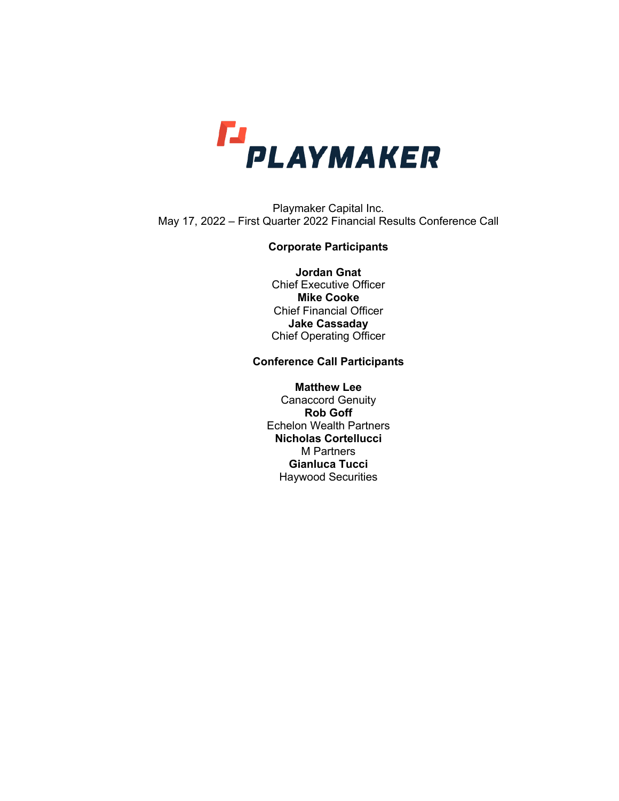

Playmaker Capital Inc. May 17, 2022 – First Quarter 2022 Financial Results Conference Call

# **Corporate Participants**

**Jordan Gnat** Chief Executive Officer **Mike Cooke** Chief Financial Officer **Jake Cassaday** Chief Operating Officer

# **Conference Call Participants**

**Matthew Lee** Canaccord Genuity **Rob Goff** Echelon Wealth Partners **Nicholas Cortellucci** M Partners **Gianluca Tucci** Haywood Securities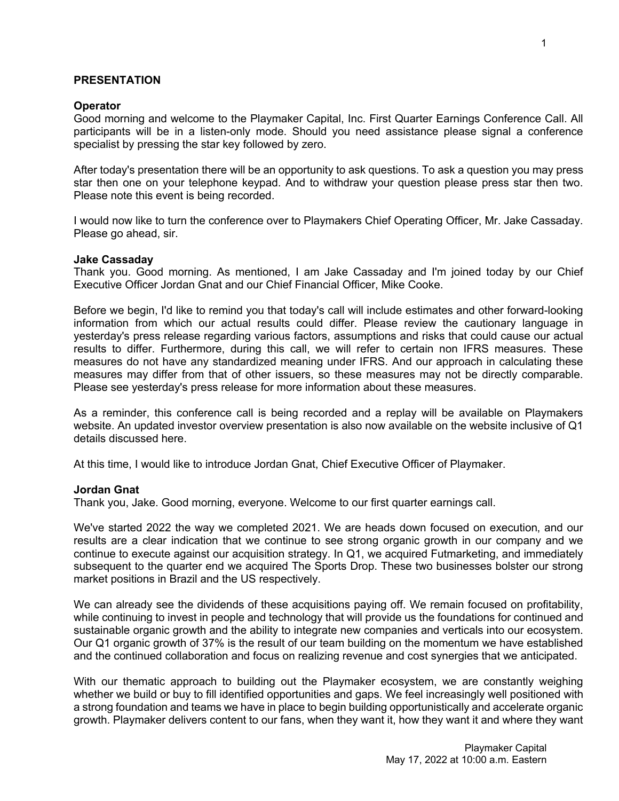# **PRESENTATION**

### **Operator**

Good morning and welcome to the Playmaker Capital, Inc. First Quarter Earnings Conference Call. All participants will be in a listen-only mode. Should you need assistance please signal a conference specialist by pressing the star key followed by zero.

After today's presentation there will be an opportunity to ask questions. To ask a question you may press star then one on your telephone keypad. And to withdraw your question please press star then two. Please note this event is being recorded.

I would now like to turn the conference over to Playmakers Chief Operating Officer, Mr. Jake Cassaday. Please go ahead, sir.

### **Jake Cassaday**

Thank you. Good morning. As mentioned, I am Jake Cassaday and I'm joined today by our Chief Executive Officer Jordan Gnat and our Chief Financial Officer, Mike Cooke.

Before we begin, I'd like to remind you that today's call will include estimates and other forward-looking information from which our actual results could differ. Please review the cautionary language in yesterday's press release regarding various factors, assumptions and risks that could cause our actual results to differ. Furthermore, during this call, we will refer to certain non IFRS measures. These measures do not have any standardized meaning under IFRS. And our approach in calculating these measures may differ from that of other issuers, so these measures may not be directly comparable. Please see yesterday's press release for more information about these measures.

As a reminder, this conference call is being recorded and a replay will be available on Playmakers website. An updated investor overview presentation is also now available on the website inclusive of Q1 details discussed here.

At this time, I would like to introduce Jordan Gnat, Chief Executive Officer of Playmaker.

### **Jordan Gnat**

Thank you, Jake. Good morning, everyone. Welcome to our first quarter earnings call.

We've started 2022 the way we completed 2021. We are heads down focused on execution, and our results are a clear indication that we continue to see strong organic growth in our company and we continue to execute against our acquisition strategy. In Q1, we acquired Futmarketing, and immediately subsequent to the quarter end we acquired The Sports Drop. These two businesses bolster our strong market positions in Brazil and the US respectively.

We can already see the dividends of these acquisitions paying off. We remain focused on profitability, while continuing to invest in people and technology that will provide us the foundations for continued and sustainable organic growth and the ability to integrate new companies and verticals into our ecosystem. Our Q1 organic growth of 37% is the result of our team building on the momentum we have established and the continued collaboration and focus on realizing revenue and cost synergies that we anticipated.

With our thematic approach to building out the Playmaker ecosystem, we are constantly weighing whether we build or buy to fill identified opportunities and gaps. We feel increasingly well positioned with a strong foundation and teams we have in place to begin building opportunistically and accelerate organic growth. Playmaker delivers content to our fans, when they want it, how they want it and where they want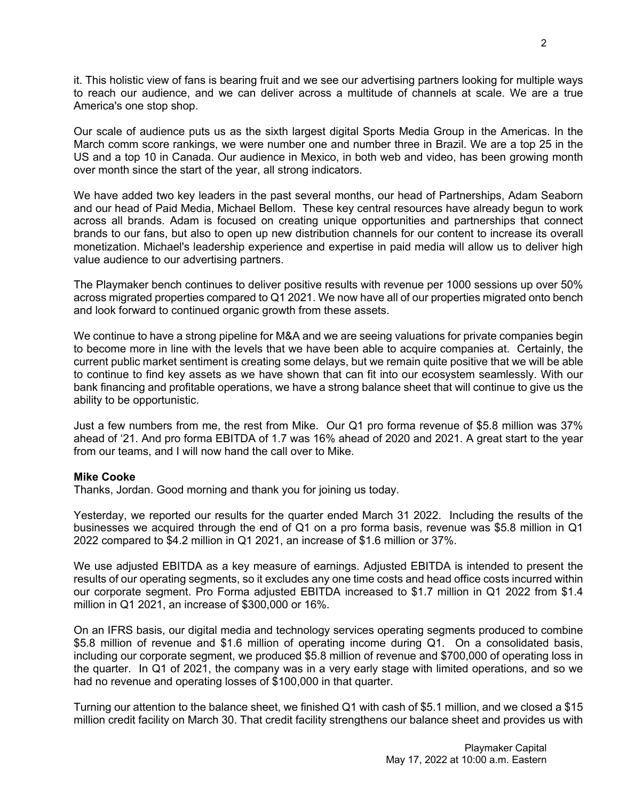it. This holistic view of fans is bearing fruit and we see our advertising partners looking for multiple ways to reach our audience, and we can deliver across a multitude of channels at scale. We are a true America's one stop shop.

Our scale of audience puts us as the sixth largest digital Sports Media Group in the Americas. In the March comm score rankings, we were number one and number three in Brazil. We are a top 25 in the US and a top 10 in Canada. Our audience in Mexico, in both web and video, has been growing month over month since the start of the year, all strong indicators.

We have added two key leaders in the past several months, our head of Partnerships, Adam Seaborn and our head of Paid Media, Michael Bellom. These key central resources have already begun to work across all brands. Adam is focused on creating unique opportunities and partnerships that connect brands to our fans, but also to open up new distribution channels for our content to increase its overall monetization. Michael's leadership experience and expertise in paid media will allow us to deliver high value audience to our advertising partners.

The Playmaker bench continues to deliver positive results with revenue per 1000 sessions up over 50% across migrated properties compared to Q1 2021. We now have all of our properties migrated onto bench and look forward to continued organic growth from these assets.

We continue to have a strong pipeline for M&A and we are seeing valuations for private companies begin to become more in line with the levels that we have been able to acquire companies at. Certainly, the current public market sentiment is creating some delays, but we remain quite positive that we will be able to continue to find key assets as we have shown that can fit into our ecosystem seamlessly. With our bank financing and profitable operations, we have a strong balance sheet that will continue to give us the ability to be opportunistic.

Just a few numbers from me, the rest from Mike. Our Q1 pro forma revenue of \$5.8 million was 37% ahead of '21. And pro forma EBITDA of 1.7 was 16% ahead of 2020 and 2021. A great start to the year from our teams, and I will now hand the call over to Mike.

### **Mike Cooke**

Thanks, Jordan. Good morning and thank you for joining us today.

Yesterday, we reported our results for the quarter ended March 31 2022. Including the results of the businesses we acquired through the end of Q1 on a pro forma basis, revenue was \$5.8 million in Q1 2022 compared to \$4.2 million in Q1 2021, an increase of \$1.6 million or 37%.

We use adjusted EBITDA as a key measure of earnings. Adjusted EBITDA is intended to present the results of our operating segments, so it excludes any one time costs and head office costs incurred within our corporate segment. Pro Forma adjusted EBITDA increased to \$1.7 million in Q1 2022 from \$1.4 million in Q1 2021, an increase of \$300,000 or 16%.

On an IFRS basis, our digital media and technology services operating segments produced to combine \$5.8 million of revenue and \$1.6 million of operating income during Q1. On a consolidated basis, including our corporate segment, we produced \$5.8 million of revenue and \$700,000 of operating loss in the quarter. In Q1 of 2021, the company was in a very early stage with limited operations, and so we had no revenue and operating losses of \$100,000 in that quarter.

Turning our attention to the balance sheet, we finished Q1 with cash of \$5.1 million, and we closed a \$15 million credit facility on March 30. That credit facility strengthens our balance sheet and provides us with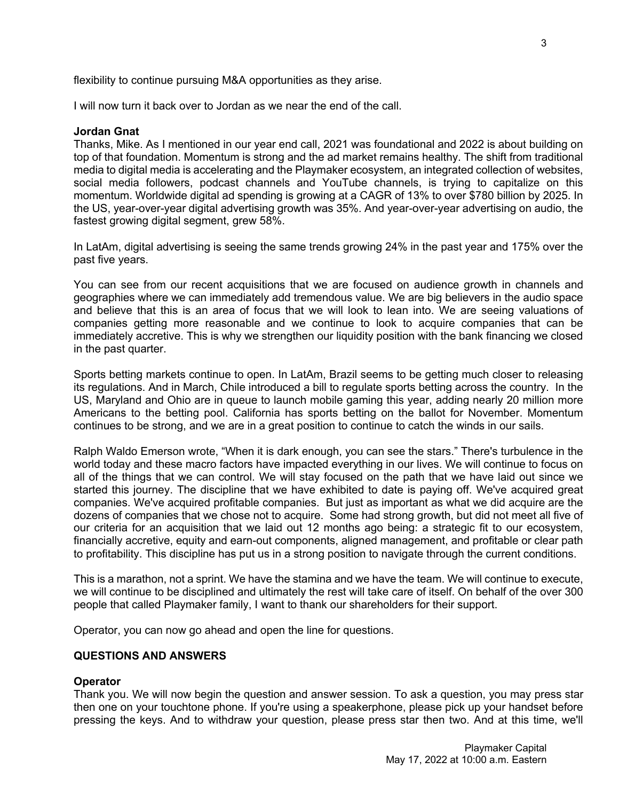flexibility to continue pursuing M&A opportunities as they arise.

I will now turn it back over to Jordan as we near the end of the call.

### **Jordan Gnat**

Thanks, Mike. As I mentioned in our year end call, 2021 was foundational and 2022 is about building on top of that foundation. Momentum is strong and the ad market remains healthy. The shift from traditional media to digital media is accelerating and the Playmaker ecosystem, an integrated collection of websites, social media followers, podcast channels and YouTube channels, is trying to capitalize on this momentum. Worldwide digital ad spending is growing at a CAGR of 13% to over \$780 billion by 2025. In the US, year-over-year digital advertising growth was 35%. And year-over-year advertising on audio, the fastest growing digital segment, grew 58%.

In LatAm, digital advertising is seeing the same trends growing 24% in the past year and 175% over the past five years.

You can see from our recent acquisitions that we are focused on audience growth in channels and geographies where we can immediately add tremendous value. We are big believers in the audio space and believe that this is an area of focus that we will look to lean into. We are seeing valuations of companies getting more reasonable and we continue to look to acquire companies that can be immediately accretive. This is why we strengthen our liquidity position with the bank financing we closed in the past quarter.

Sports betting markets continue to open. In LatAm, Brazil seems to be getting much closer to releasing its regulations. And in March, Chile introduced a bill to regulate sports betting across the country. In the US, Maryland and Ohio are in queue to launch mobile gaming this year, adding nearly 20 million more Americans to the betting pool. California has sports betting on the ballot for November. Momentum continues to be strong, and we are in a great position to continue to catch the winds in our sails.

Ralph Waldo Emerson wrote, "When it is dark enough, you can see the stars." There's turbulence in the world today and these macro factors have impacted everything in our lives. We will continue to focus on all of the things that we can control. We will stay focused on the path that we have laid out since we started this journey. The discipline that we have exhibited to date is paying off. We've acquired great companies. We've acquired profitable companies. But just as important as what we did acquire are the dozens of companies that we chose not to acquire. Some had strong growth, but did not meet all five of our criteria for an acquisition that we laid out 12 months ago being: a strategic fit to our ecosystem, financially accretive, equity and earn-out components, aligned management, and profitable or clear path to profitability. This discipline has put us in a strong position to navigate through the current conditions.

This is a marathon, not a sprint. We have the stamina and we have the team. We will continue to execute, we will continue to be disciplined and ultimately the rest will take care of itself. On behalf of the over 300 people that called Playmaker family, I want to thank our shareholders for their support.

Operator, you can now go ahead and open the line for questions.

# **QUESTIONS AND ANSWERS**

# **Operator**

Thank you. We will now begin the question and answer session. To ask a question, you may press star then one on your touchtone phone. If you're using a speakerphone, please pick up your handset before pressing the keys. And to withdraw your question, please press star then two. And at this time, we'll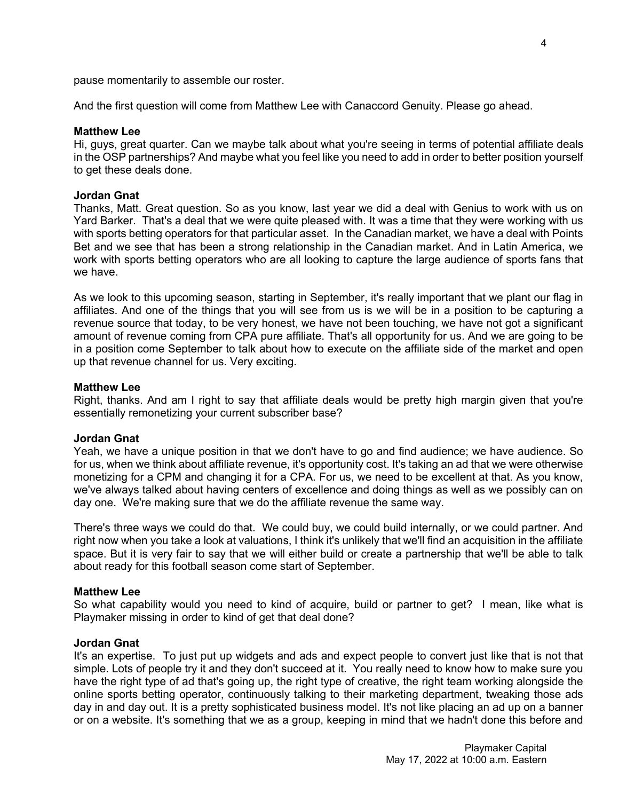pause momentarily to assemble our roster.

And the first question will come from Matthew Lee with Canaccord Genuity. Please go ahead.

#### **Matthew Lee**

Hi, guys, great quarter. Can we maybe talk about what you're seeing in terms of potential affiliate deals in the OSP partnerships? And maybe what you feel like you need to add in order to better position yourself to get these deals done.

### **Jordan Gnat**

Thanks, Matt. Great question. So as you know, last year we did a deal with Genius to work with us on Yard Barker. That's a deal that we were quite pleased with. It was a time that they were working with us with sports betting operators for that particular asset. In the Canadian market, we have a deal with Points Bet and we see that has been a strong relationship in the Canadian market. And in Latin America, we work with sports betting operators who are all looking to capture the large audience of sports fans that we have.

As we look to this upcoming season, starting in September, it's really important that we plant our flag in affiliates. And one of the things that you will see from us is we will be in a position to be capturing a revenue source that today, to be very honest, we have not been touching, we have not got a significant amount of revenue coming from CPA pure affiliate. That's all opportunity for us. And we are going to be in a position come September to talk about how to execute on the affiliate side of the market and open up that revenue channel for us. Very exciting.

#### **Matthew Lee**

Right, thanks. And am I right to say that affiliate deals would be pretty high margin given that you're essentially remonetizing your current subscriber base?

#### **Jordan Gnat**

Yeah, we have a unique position in that we don't have to go and find audience; we have audience. So for us, when we think about affiliate revenue, it's opportunity cost. It's taking an ad that we were otherwise monetizing for a CPM and changing it for a CPA. For us, we need to be excellent at that. As you know, we've always talked about having centers of excellence and doing things as well as we possibly can on day one. We're making sure that we do the affiliate revenue the same way.

There's three ways we could do that. We could buy, we could build internally, or we could partner. And right now when you take a look at valuations, I think it's unlikely that we'll find an acquisition in the affiliate space. But it is very fair to say that we will either build or create a partnership that we'll be able to talk about ready for this football season come start of September.

### **Matthew Lee**

So what capability would you need to kind of acquire, build or partner to get? I mean, like what is Playmaker missing in order to kind of get that deal done?

### **Jordan Gnat**

It's an expertise. To just put up widgets and ads and expect people to convert just like that is not that simple. Lots of people try it and they don't succeed at it. You really need to know how to make sure you have the right type of ad that's going up, the right type of creative, the right team working alongside the online sports betting operator, continuously talking to their marketing department, tweaking those ads day in and day out. It is a pretty sophisticated business model. It's not like placing an ad up on a banner or on a website. It's something that we as a group, keeping in mind that we hadn't done this before and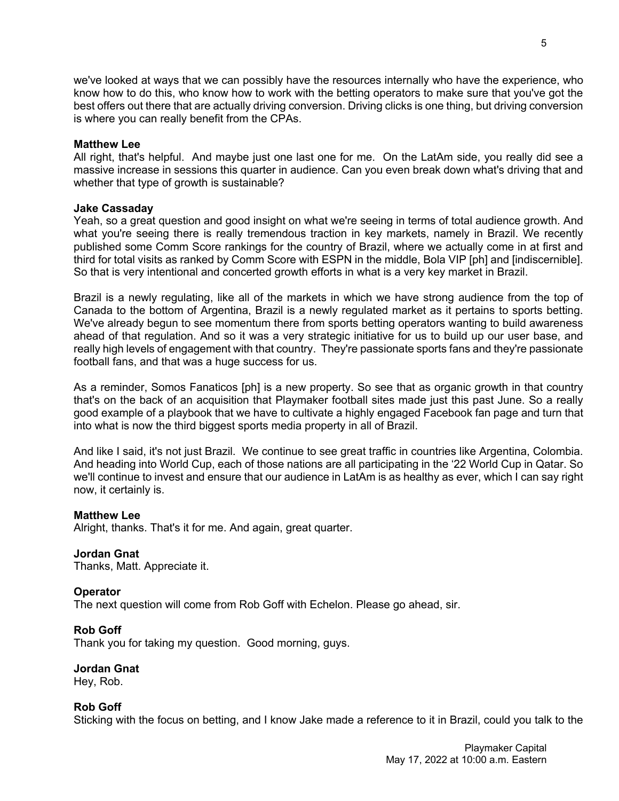we've looked at ways that we can possibly have the resources internally who have the experience, who know how to do this, who know how to work with the betting operators to make sure that you've got the best offers out there that are actually driving conversion. Driving clicks is one thing, but driving conversion is where you can really benefit from the CPAs.

## **Matthew Lee**

All right, that's helpful. And maybe just one last one for me. On the LatAm side, you really did see a massive increase in sessions this quarter in audience. Can you even break down what's driving that and whether that type of growth is sustainable?

# **Jake Cassaday**

Yeah, so a great question and good insight on what we're seeing in terms of total audience growth. And what you're seeing there is really tremendous traction in key markets, namely in Brazil. We recently published some Comm Score rankings for the country of Brazil, where we actually come in at first and third for total visits as ranked by Comm Score with ESPN in the middle, Bola VIP [ph] and [indiscernible]. So that is very intentional and concerted growth efforts in what is a very key market in Brazil.

Brazil is a newly regulating, like all of the markets in which we have strong audience from the top of Canada to the bottom of Argentina, Brazil is a newly regulated market as it pertains to sports betting. We've already begun to see momentum there from sports betting operators wanting to build awareness ahead of that regulation. And so it was a very strategic initiative for us to build up our user base, and really high levels of engagement with that country. They're passionate sports fans and they're passionate football fans, and that was a huge success for us.

As a reminder, Somos Fanaticos [ph] is a new property. So see that as organic growth in that country that's on the back of an acquisition that Playmaker football sites made just this past June. So a really good example of a playbook that we have to cultivate a highly engaged Facebook fan page and turn that into what is now the third biggest sports media property in all of Brazil.

And like I said, it's not just Brazil. We continue to see great traffic in countries like Argentina, Colombia. And heading into World Cup, each of those nations are all participating in the '22 World Cup in Qatar. So we'll continue to invest and ensure that our audience in LatAm is as healthy as ever, which I can say right now, it certainly is.

# **Matthew Lee**

Alright, thanks. That's it for me. And again, great quarter.

# **Jordan Gnat**

Thanks, Matt. Appreciate it.

# **Operator**

The next question will come from Rob Goff with Echelon. Please go ahead, sir.

### **Rob Goff**

Thank you for taking my question. Good morning, guys.

# **Jordan Gnat**

Hey, Rob.

## **Rob Goff**

Sticking with the focus on betting, and I know Jake made a reference to it in Brazil, could you talk to the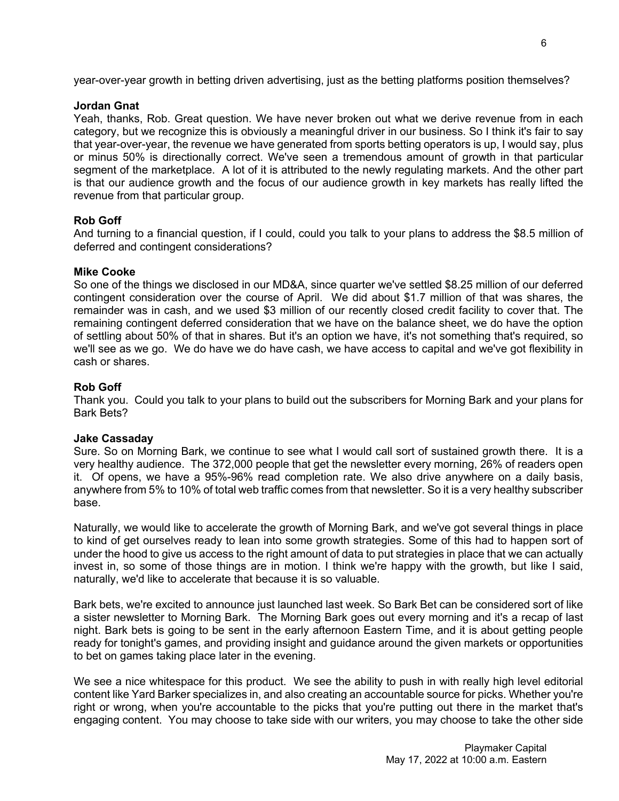year-over-year growth in betting driven advertising, just as the betting platforms position themselves?

# **Jordan Gnat**

Yeah, thanks, Rob. Great question. We have never broken out what we derive revenue from in each category, but we recognize this is obviously a meaningful driver in our business. So I think it's fair to say that year-over-year, the revenue we have generated from sports betting operators is up, I would say, plus or minus 50% is directionally correct. We've seen a tremendous amount of growth in that particular segment of the marketplace. A lot of it is attributed to the newly regulating markets. And the other part is that our audience growth and the focus of our audience growth in key markets has really lifted the revenue from that particular group.

# **Rob Goff**

And turning to a financial question, if I could, could you talk to your plans to address the \$8.5 million of deferred and contingent considerations?

# **Mike Cooke**

So one of the things we disclosed in our MD&A, since quarter we've settled \$8.25 million of our deferred contingent consideration over the course of April. We did about \$1.7 million of that was shares, the remainder was in cash, and we used \$3 million of our recently closed credit facility to cover that. The remaining contingent deferred consideration that we have on the balance sheet, we do have the option of settling about 50% of that in shares. But it's an option we have, it's not something that's required, so we'll see as we go. We do have we do have cash, we have access to capital and we've got flexibility in cash or shares.

# **Rob Goff**

Thank you. Could you talk to your plans to build out the subscribers for Morning Bark and your plans for Bark Bets?

# **Jake Cassaday**

Sure. So on Morning Bark, we continue to see what I would call sort of sustained growth there. It is a very healthy audience. The 372,000 people that get the newsletter every morning, 26% of readers open it. Of opens, we have a 95%-96% read completion rate. We also drive anywhere on a daily basis, anywhere from 5% to 10% of total web traffic comes from that newsletter. So it is a very healthy subscriber base.

Naturally, we would like to accelerate the growth of Morning Bark, and we've got several things in place to kind of get ourselves ready to lean into some growth strategies. Some of this had to happen sort of under the hood to give us access to the right amount of data to put strategies in place that we can actually invest in, so some of those things are in motion. I think we're happy with the growth, but like I said, naturally, we'd like to accelerate that because it is so valuable.

Bark bets, we're excited to announce just launched last week. So Bark Bet can be considered sort of like a sister newsletter to Morning Bark. The Morning Bark goes out every morning and it's a recap of last night. Bark bets is going to be sent in the early afternoon Eastern Time, and it is about getting people ready for tonight's games, and providing insight and guidance around the given markets or opportunities to bet on games taking place later in the evening.

We see a nice whitespace for this product. We see the ability to push in with really high level editorial content like Yard Barker specializes in, and also creating an accountable source for picks. Whether you're right or wrong, when you're accountable to the picks that you're putting out there in the market that's engaging content. You may choose to take side with our writers, you may choose to take the other side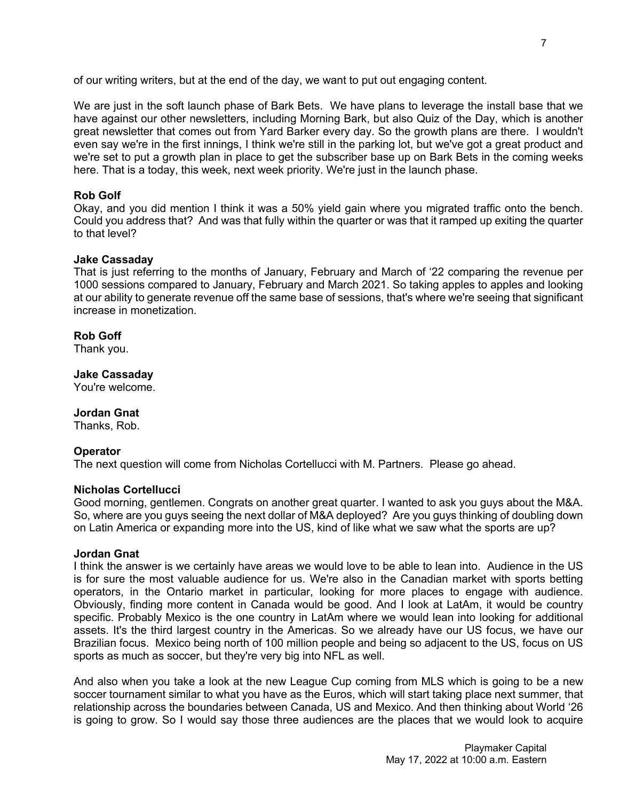We are just in the soft launch phase of Bark Bets. We have plans to leverage the install base that we have against our other newsletters, including Morning Bark, but also Quiz of the Day, which is another great newsletter that comes out from Yard Barker every day. So the growth plans are there. I wouldn't even say we're in the first innings, I think we're still in the parking lot, but we've got a great product and we're set to put a growth plan in place to get the subscriber base up on Bark Bets in the coming weeks here. That is a today, this week, next week priority. We're just in the launch phase.

# **Rob Golf**

Okay, and you did mention I think it was a 50% yield gain where you migrated traffic onto the bench. Could you address that? And was that fully within the quarter or was that it ramped up exiting the quarter to that level?

# **Jake Cassaday**

That is just referring to the months of January, February and March of '22 comparing the revenue per 1000 sessions compared to January, February and March 2021. So taking apples to apples and looking at our ability to generate revenue off the same base of sessions, that's where we're seeing that significant increase in monetization.

# **Rob Goff**

Thank you.

# **Jake Cassaday**

You're welcome.

# **Jordan Gnat**

Thanks, Rob.

# **Operator**

The next question will come from Nicholas Cortellucci with M. Partners. Please go ahead.

# **Nicholas Cortellucci**

Good morning, gentlemen. Congrats on another great quarter. I wanted to ask you guys about the M&A. So, where are you guys seeing the next dollar of M&A deployed? Are you guys thinking of doubling down on Latin America or expanding more into the US, kind of like what we saw what the sports are up?

# **Jordan Gnat**

I think the answer is we certainly have areas we would love to be able to lean into. Audience in the US is for sure the most valuable audience for us. We're also in the Canadian market with sports betting operators, in the Ontario market in particular, looking for more places to engage with audience. Obviously, finding more content in Canada would be good. And I look at LatAm, it would be country specific. Probably Mexico is the one country in LatAm where we would lean into looking for additional assets. It's the third largest country in the Americas. So we already have our US focus, we have our Brazilian focus. Mexico being north of 100 million people and being so adjacent to the US, focus on US sports as much as soccer, but they're very big into NFL as well.

And also when you take a look at the new League Cup coming from MLS which is going to be a new soccer tournament similar to what you have as the Euros, which will start taking place next summer, that relationship across the boundaries between Canada, US and Mexico. And then thinking about World '26 is going to grow. So I would say those three audiences are the places that we would look to acquire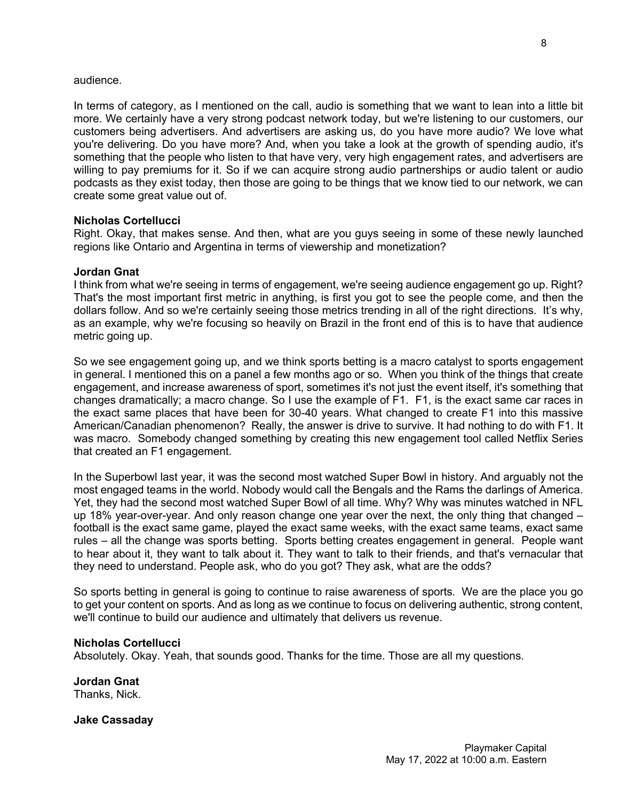## audience.

In terms of category, as I mentioned on the call, audio is something that we want to lean into a little bit more. We certainly have a very strong podcast network today, but we're listening to our customers, our customers being advertisers. And advertisers are asking us, do you have more audio? We love what you're delivering. Do you have more? And, when you take a look at the growth of spending audio, it's something that the people who listen to that have very, very high engagement rates, and advertisers are willing to pay premiums for it. So if we can acquire strong audio partnerships or audio talent or audio podcasts as they exist today, then those are going to be things that we know tied to our network, we can create some great value out of.

## **Nicholas Cortellucci**

Right. Okay, that makes sense. And then, what are you guys seeing in some of these newly launched regions like Ontario and Argentina in terms of viewership and monetization?

## **Jordan Gnat**

I think from what we're seeing in terms of engagement, we're seeing audience engagement go up. Right? That's the most important first metric in anything, is first you got to see the people come, and then the dollars follow. And so we're certainly seeing those metrics trending in all of the right directions. It's why, as an example, why we're focusing so heavily on Brazil in the front end of this is to have that audience metric going up.

So we see engagement going up, and we think sports betting is a macro catalyst to sports engagement in general. I mentioned this on a panel a few months ago or so. When you think of the things that create engagement, and increase awareness of sport, sometimes it's not just the event itself, it's something that changes dramatically; a macro change. So I use the example of F1. F1, is the exact same car races in the exact same places that have been for 30-40 years. What changed to create F1 into this massive American/Canadian phenomenon? Really, the answer is drive to survive. It had nothing to do with F1. It was macro. Somebody changed something by creating this new engagement tool called Netflix Series that created an F1 engagement.

In the Superbowl last year, it was the second most watched Super Bowl in history. And arguably not the most engaged teams in the world. Nobody would call the Bengals and the Rams the darlings of America. Yet, they had the second most watched Super Bowl of all time. Why? Why was minutes watched in NFL up 18% year-over-year. And only reason change one year over the next, the only thing that changed – football is the exact same game, played the exact same weeks, with the exact same teams, exact same rules – all the change was sports betting. Sports betting creates engagement in general. People want to hear about it, they want to talk about it. They want to talk to their friends, and that's vernacular that they need to understand. People ask, who do you got? They ask, what are the odds?

So sports betting in general is going to continue to raise awareness of sports. We are the place you go to get your content on sports. And as long as we continue to focus on delivering authentic, strong content, we'll continue to build our audience and ultimately that delivers us revenue.

### **Nicholas Cortellucci**

Absolutely. Okay. Yeah, that sounds good. Thanks for the time. Those are all my questions.

**Jordan Gnat** Thanks, Nick.

**Jake Cassaday**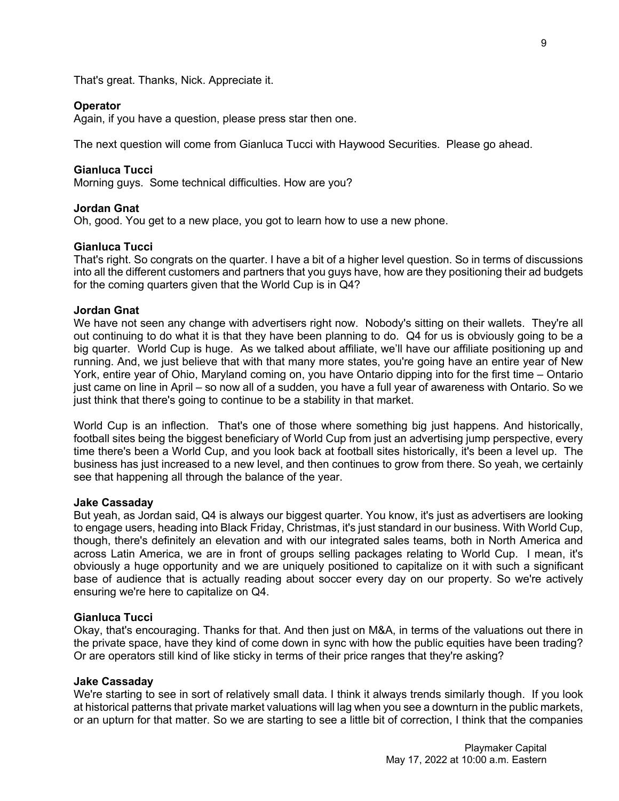That's great. Thanks, Nick. Appreciate it.

### **Operator**

Again, if you have a question, please press star then one.

The next question will come from Gianluca Tucci with Haywood Securities. Please go ahead.

## **Gianluca Tucci**

Morning guys. Some technical difficulties. How are you?

# **Jordan Gnat**

Oh, good. You get to a new place, you got to learn how to use a new phone.

# **Gianluca Tucci**

That's right. So congrats on the quarter. I have a bit of a higher level question. So in terms of discussions into all the different customers and partners that you guys have, how are they positioning their ad budgets for the coming quarters given that the World Cup is in Q4?

### **Jordan Gnat**

We have not seen any change with advertisers right now. Nobody's sitting on their wallets. They're all out continuing to do what it is that they have been planning to do. Q4 for us is obviously going to be a big quarter. World Cup is huge. As we talked about affiliate, we'll have our affiliate positioning up and running. And, we just believe that with that many more states, you're going have an entire year of New York, entire year of Ohio, Maryland coming on, you have Ontario dipping into for the first time – Ontario just came on line in April – so now all of a sudden, you have a full year of awareness with Ontario. So we just think that there's going to continue to be a stability in that market.

World Cup is an inflection. That's one of those where something big just happens. And historically, football sites being the biggest beneficiary of World Cup from just an advertising jump perspective, every time there's been a World Cup, and you look back at football sites historically, it's been a level up. The business has just increased to a new level, and then continues to grow from there. So yeah, we certainly see that happening all through the balance of the year.

## **Jake Cassaday**

But yeah, as Jordan said, Q4 is always our biggest quarter. You know, it's just as advertisers are looking to engage users, heading into Black Friday, Christmas, it's just standard in our business. With World Cup, though, there's definitely an elevation and with our integrated sales teams, both in North America and across Latin America, we are in front of groups selling packages relating to World Cup. I mean, it's obviously a huge opportunity and we are uniquely positioned to capitalize on it with such a significant base of audience that is actually reading about soccer every day on our property. So we're actively ensuring we're here to capitalize on Q4.

## **Gianluca Tucci**

Okay, that's encouraging. Thanks for that. And then just on M&A, in terms of the valuations out there in the private space, have they kind of come down in sync with how the public equities have been trading? Or are operators still kind of like sticky in terms of their price ranges that they're asking?

### **Jake Cassaday**

We're starting to see in sort of relatively small data. I think it always trends similarly though. If you look at historical patterns that private market valuations will lag when you see a downturn in the public markets, or an upturn for that matter. So we are starting to see a little bit of correction, I think that the companies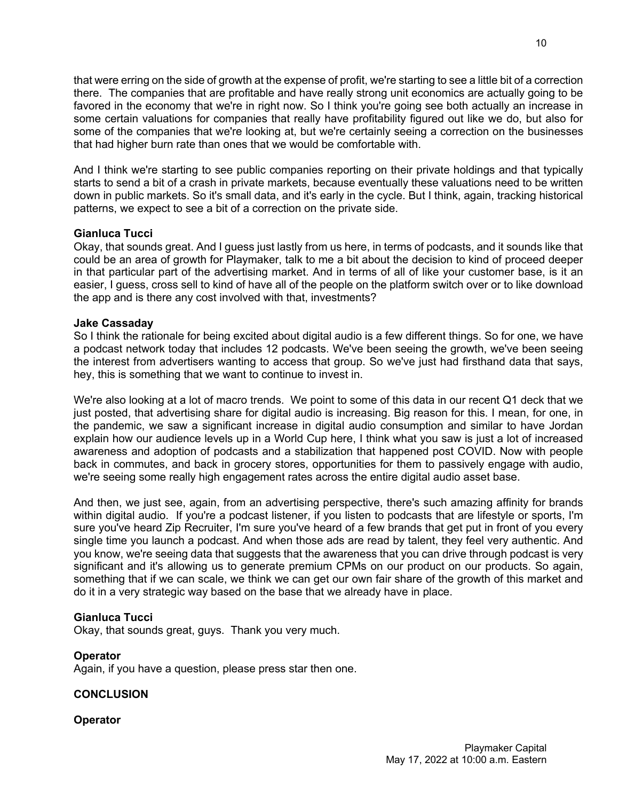that were erring on the side of growth at the expense of profit, we're starting to see a little bit of a correction there. The companies that are profitable and have really strong unit economics are actually going to be favored in the economy that we're in right now. So I think you're going see both actually an increase in some certain valuations for companies that really have profitability figured out like we do, but also for some of the companies that we're looking at, but we're certainly seeing a correction on the businesses that had higher burn rate than ones that we would be comfortable with.

And I think we're starting to see public companies reporting on their private holdings and that typically starts to send a bit of a crash in private markets, because eventually these valuations need to be written down in public markets. So it's small data, and it's early in the cycle. But I think, again, tracking historical patterns, we expect to see a bit of a correction on the private side.

# **Gianluca Tucci**

Okay, that sounds great. And I guess just lastly from us here, in terms of podcasts, and it sounds like that could be an area of growth for Playmaker, talk to me a bit about the decision to kind of proceed deeper in that particular part of the advertising market. And in terms of all of like your customer base, is it an easier, I guess, cross sell to kind of have all of the people on the platform switch over or to like download the app and is there any cost involved with that, investments?

# **Jake Cassaday**

So I think the rationale for being excited about digital audio is a few different things. So for one, we have a podcast network today that includes 12 podcasts. We've been seeing the growth, we've been seeing the interest from advertisers wanting to access that group. So we've just had firsthand data that says, hey, this is something that we want to continue to invest in.

We're also looking at a lot of macro trends. We point to some of this data in our recent Q1 deck that we just posted, that advertising share for digital audio is increasing. Big reason for this. I mean, for one, in the pandemic, we saw a significant increase in digital audio consumption and similar to have Jordan explain how our audience levels up in a World Cup here, I think what you saw is just a lot of increased awareness and adoption of podcasts and a stabilization that happened post COVID. Now with people back in commutes, and back in grocery stores, opportunities for them to passively engage with audio, we're seeing some really high engagement rates across the entire digital audio asset base.

And then, we just see, again, from an advertising perspective, there's such amazing affinity for brands within digital audio. If you're a podcast listener, if you listen to podcasts that are lifestyle or sports, I'm sure you've heard Zip Recruiter, I'm sure you've heard of a few brands that get put in front of you every single time you launch a podcast. And when those ads are read by talent, they feel very authentic. And you know, we're seeing data that suggests that the awareness that you can drive through podcast is very significant and it's allowing us to generate premium CPMs on our product on our products. So again, something that if we can scale, we think we can get our own fair share of the growth of this market and do it in a very strategic way based on the base that we already have in place.

# **Gianluca Tucci**

Okay, that sounds great, guys. Thank you very much.

# **Operator**

Again, if you have a question, please press star then one.

# **CONCLUSION**

# **Operator**